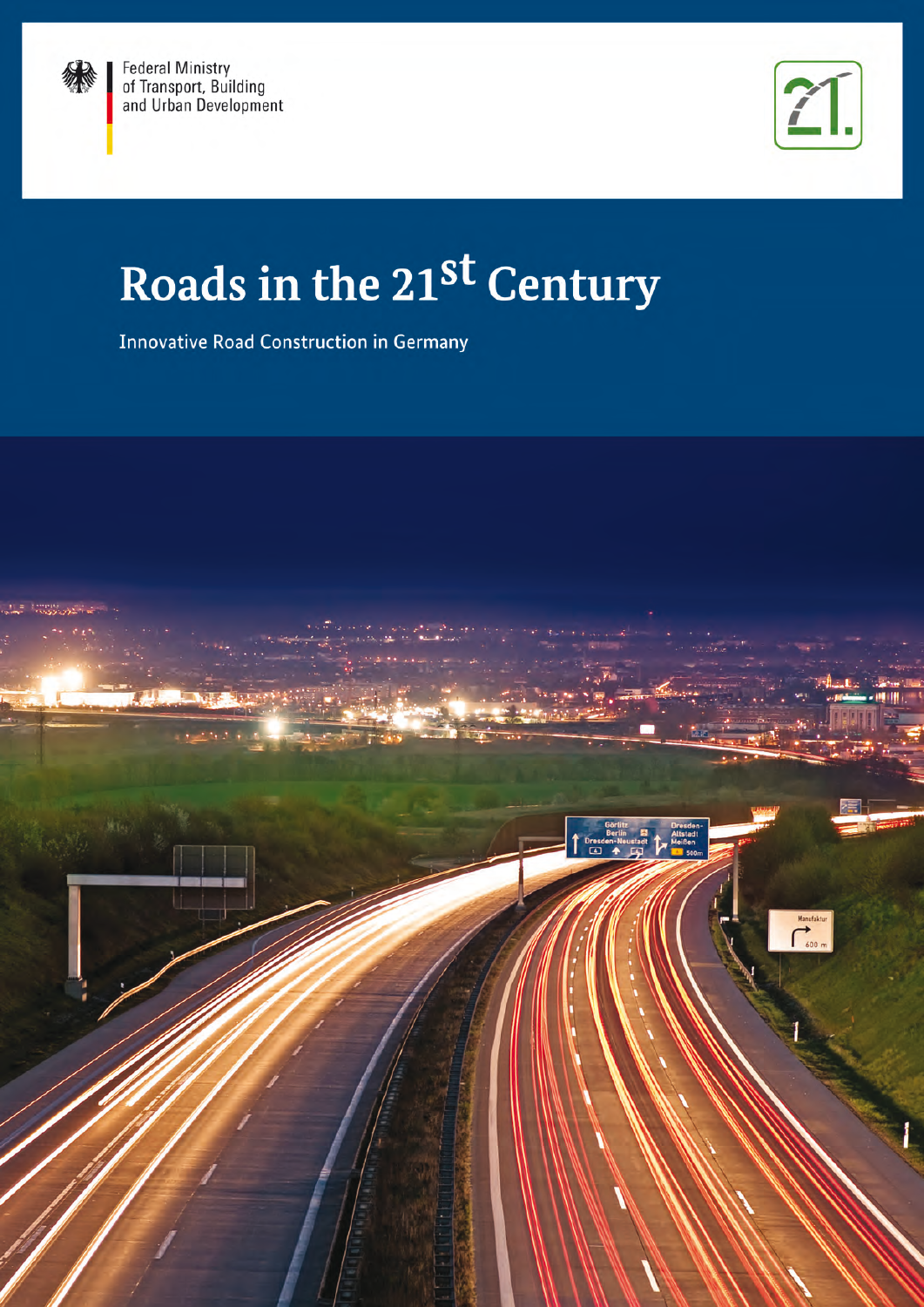



# Roads in the 21st Century

**Innovative Road Construction in Germany** 

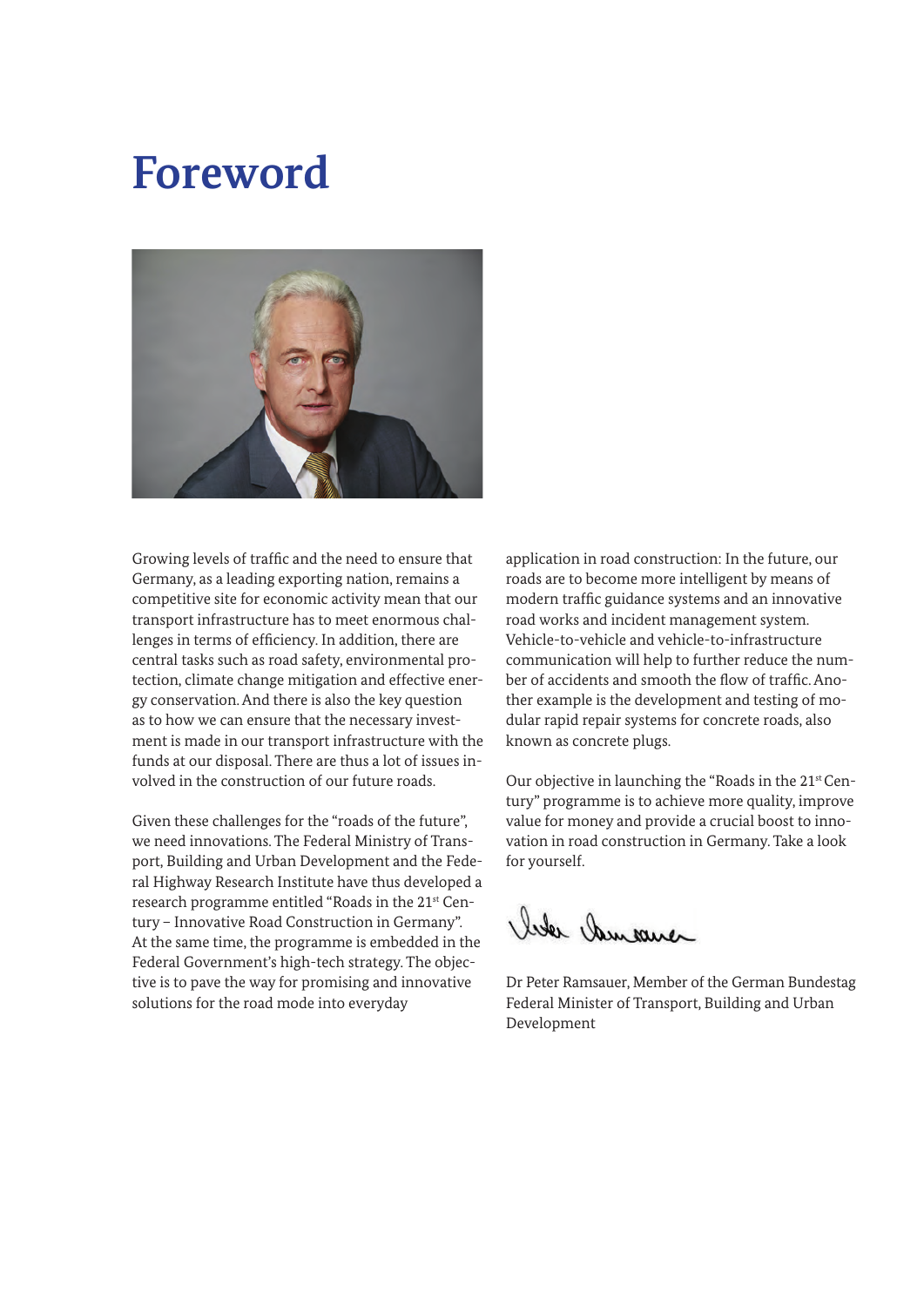### **Foreword**



Growing levels of traffic and the need to ensure that Germany, as a leading exporting nation, remains a competitive site for economic activity mean that our transport infrastructure has to meet enormous challenges in terms of efficiency. In addition, there are central tasks such as road safety, environmental protection, climate change mitigation and effective energy conservation. And there is also the key question as to how we can ensure that the necessary investment is made in our transport infrastructure with the funds at our disposal. There are thus a lot of issues involved in the construction of our future roads.

Given these challenges for the "roads of the future", we need innovations. The Federal Ministry of Transport, Building and Urban Development and the Federal Highway Research Institute have thus developed a research programme entitled "Roads in the 21st Century – Innovative Road Construction in Germany". At the same time, the programme is embedded in the Federal Government's high-tech strategy. The objective is to pave the way for promising and innovative solutions for the road mode into everyday

application in road construction: In the future, our roads are to become more intelligent by means of modern traffic guidance systems and an innovative road works and incident management system. Vehicle-to-vehicle and vehicle-to-infrastructure communication will help to further reduce the number of accidents and smooth the flow of traffic. Another example is the development and testing of modular rapid repair systems for concrete roads, also known as concrete plugs.

Our objective in launching the "Roads in the 21<sup>st</sup> Century" programme is to achieve more quality, improve value for money and provide a crucial boost to innovation in road construction in Germany. Take a look for yourself.

like the mas

Dr Peter Ramsauer, Member of the German Bundestag Federal Minister of Transport, Building and Urban Development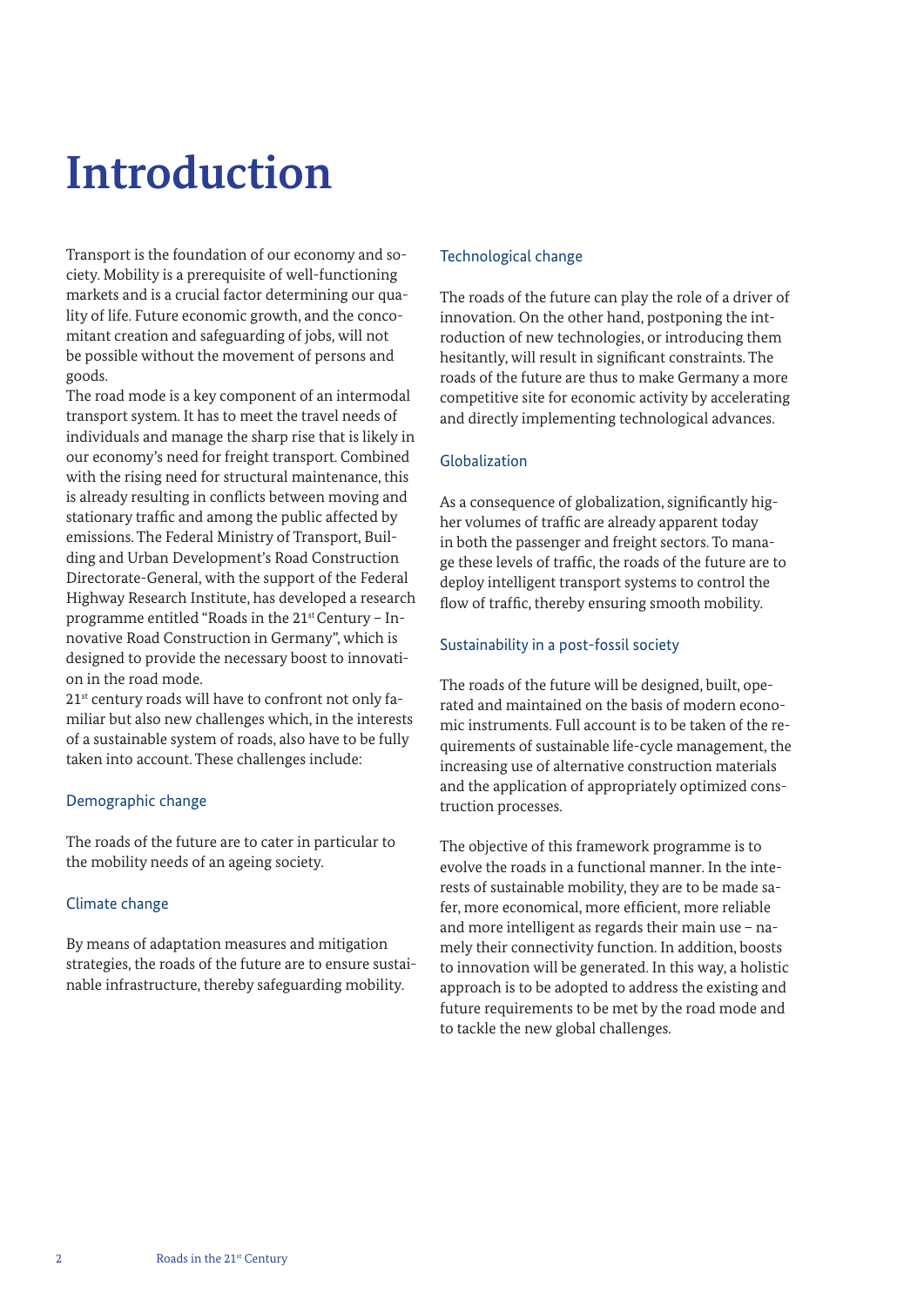## **Introduction**

Transport is the foundation of our economy and society. Mobility is a prerequisite of well-functioning markets and is a crucial factor determining our quality of life. Future economic growth, and the concomitant creation and safeguarding of jobs, will not be possible without the movement of persons and goods.

The road mode is a key component of an intermodal transport system. It has to meet the travel needs of individuals and manage the sharp rise that is likely in our economy's need for freight transport. Combined with the rising need for structural maintenance, this is already resulting in conflicts between moving and stationary traffic and among the public affected by emissions. The Federal Ministry of Transport, Building and Urban Development's Road Construction Directorate-General, with the support of the Federal Highway Research Institute, has developed a research programme entitled "Roads in the 21st Century – Innovative Road Construction in Germany", which is designed to provide the necessary boost to innovation in the road mode.

21<sup>st</sup> century roads will have to confront not only familiar but also new challenges which, in the interests of a sustainable system of roads, also have to be fully taken into account. These challenges include:

### Demographic change

The roads of the future are to cater in particular to the mobility needs of an ageing society.

### Climate change

By means of adaptation measures and mitigation strategies, the roads of the future are to ensure sustainable infrastructure, thereby safeguarding mobility.

### Technological change

The roads of the future can play the role of a driver of innovation. On the other hand, postponing the introduction of new technologies, or introducing them hesitantly, will result in significant constraints. The roads of the future are thus to make Germany a more competitive site for economic activity by accelerating and directly implementing technological advances.

#### Globalization

As a consequence of globalization, significantly higher volumes of traffic are already apparent today in both the passenger and freight sectors. To manage these levels of traffic, the roads of the future are to deploy intelligent transport systems to control the flow of traffic, thereby ensuring smooth mobility.

### Sustainability in a post-fossil society

The roads of the future will be designed, built, operated and maintained on the basis of modern economic instruments. Full account is to be taken of the requirements of sustainable life-cycle management, the increasing use of alternative construction materials and the application of appropriately optimized construction processes.

The objective of this framework programme is to evolve the roads in a functional manner. In the interests of sustainable mobility, they are to be made safer, more economical, more efficient, more reliable and more intelligent as regards their main use – namely their connectivity function. In addition, boosts to innovation will be generated. In this way, a holistic approach is to be adopted to address the existing and future requirements to be met by the road mode and to tackle the new global challenges.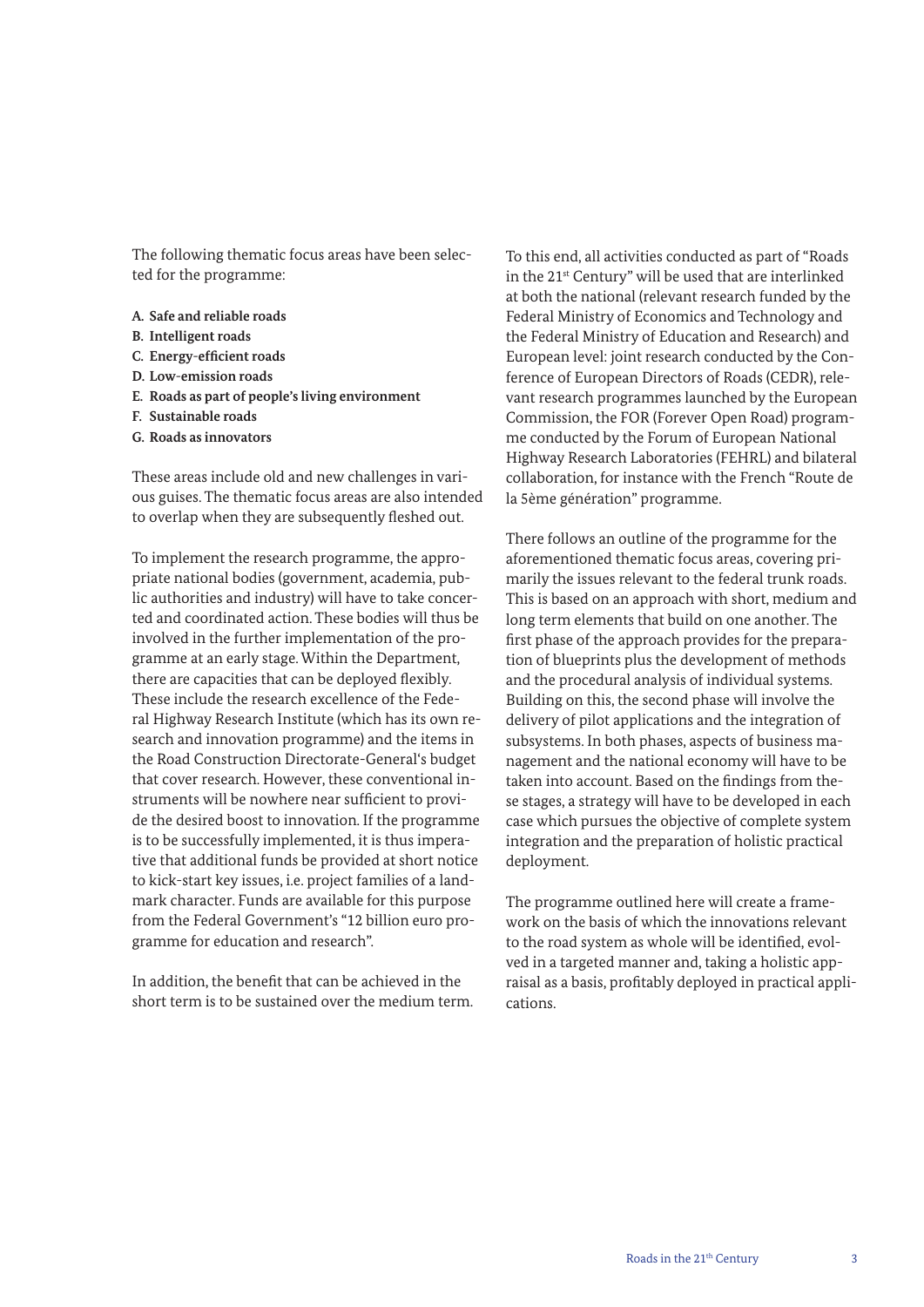The following thematic focus areas have been selected for the programme:

- **A. Safe and reliable roads**
- **B. Intelligent roads**
- **C. Energy-efficient roads**
- **D. Low-emission roads**
- **E. Roads as part of people's living environment**
- **F. Sustainable roads**
- **G. Roads as innovators**

These areas include old and new challenges in various guises. The thematic focus areas are also intended to overlap when they are subsequently fleshed out.

To implement the research programme, the appropriate national bodies (government, academia, public authorities and industry) will have to take concerted and coordinated action. These bodies will thus be involved in the further implementation of the programme at an early stage. Within the Department, there are capacities that can be deployed flexibly. These include the research excellence of the Federal Highway Research Institute (which has its own research and innovation programme) and the items in the Road Construction Directorate-General's budget that cover research. However, these conventional instruments will be nowhere near sufficient to provide the desired boost to innovation. If the programme is to be successfully implemented, it is thus imperative that additional funds be provided at short notice to kick-start key issues, i.e. project families of a landmark character. Funds are available for this purpose from the Federal Government's "12 billion euro programme for education and research".

In addition, the benefit that can be achieved in the short term is to be sustained over the medium term. To this end, all activities conducted as part of "Roads in the 21<sup>st</sup> Century" will be used that are interlinked at both the national (relevant research funded by the Federal Ministry of Economics and Technology and the Federal Ministry of Education and Research) and European level: joint research conducted by the Conference of European Directors of Roads (CEDR), relevant research programmes launched by the European Commission, the FOR (Forever Open Road) programme conducted by the Forum of European National Highway Research Laboratories (FEHRL) and bilateral collaboration, for instance with the French "Route de la 5ème génération" programme.

There follows an outline of the programme for the aforementioned thematic focus areas, covering primarily the issues relevant to the federal trunk roads. This is based on an approach with short, medium and long term elements that build on one another. The first phase of the approach provides for the preparation of blueprints plus the development of methods and the procedural analysis of individual systems. Building on this, the second phase will involve the delivery of pilot applications and the integration of subsystems. In both phases, aspects of business management and the national economy will have to be taken into account. Based on the findings from these stages, a strategy will have to be developed in each case which pursues the objective of complete system integration and the preparation of holistic practical deployment.

The programme outlined here will create a framework on the basis of which the innovations relevant to the road system as whole will be identified, evolved in a targeted manner and, taking a holistic appraisal as a basis, profitably deployed in practical applications.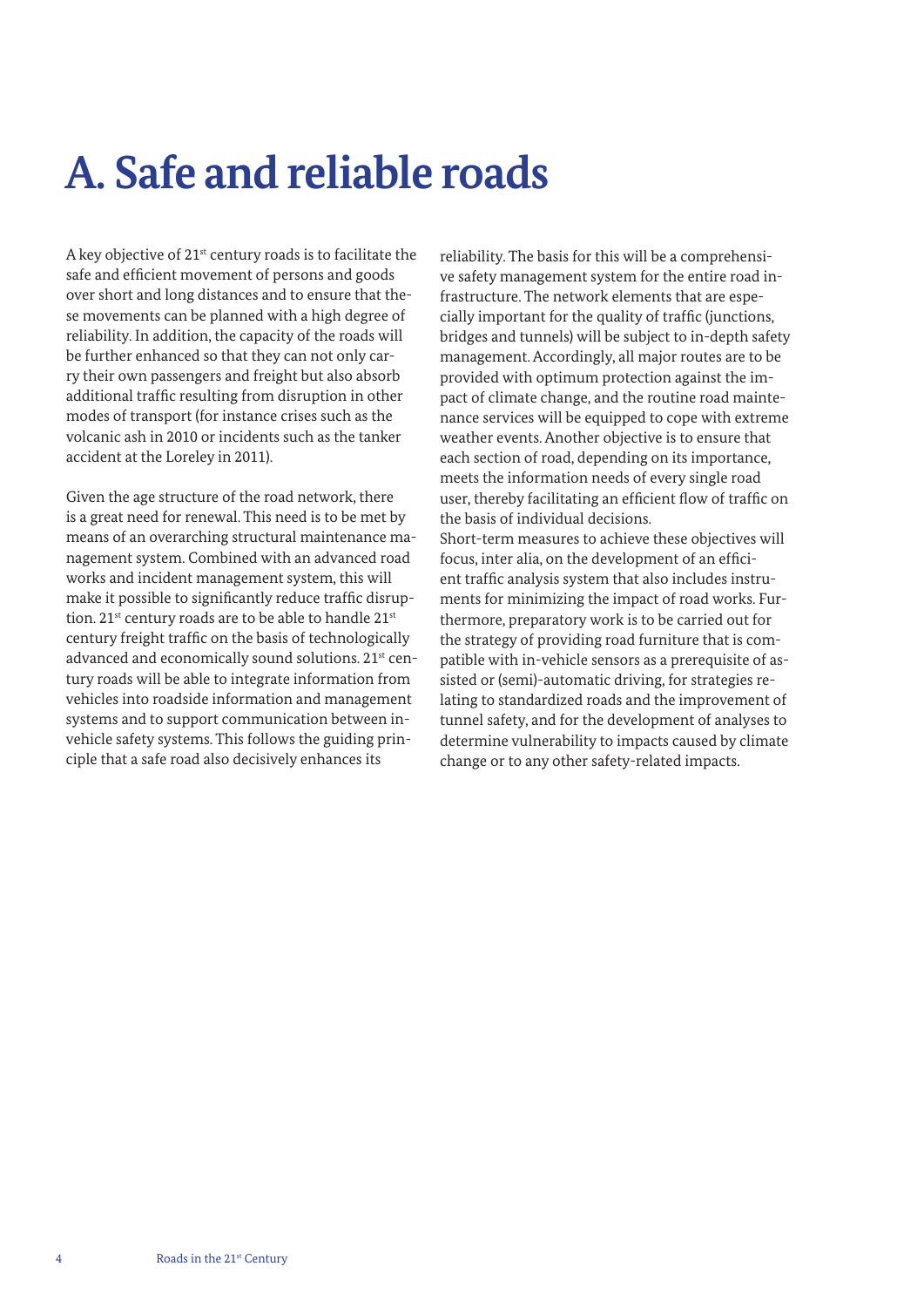## **A. Safe and reliable roads**

A key objective of 21st century roads is to facilitate the safe and efficient movement of persons and goods over short and long distances and to ensure that these movements can be planned with a high degree of reliability. In addition, the capacity of the roads will be further enhanced so that they can not only carry their own passengers and freight but also absorb additional traffic resulting from disruption in other modes of transport (for instance crises such as the volcanic ash in 2010 or incidents such as the tanker accident at the Loreley in 2011).

Given the age structure of the road network, there is a great need for renewal. This need is to be met by means of an overarching structural maintenance management system. Combined with an advanced road works and incident management system, this will make it possible to significantly reduce traffic disruption.  $21^{st}$  century roads are to be able to handle  $21^{st}$ century freight traffic on the basis of technologically advanced and economically sound solutions. 21<sup>st</sup> century roads will be able to integrate information from vehicles into roadside information and management systems and to support communication between invehicle safety systems. This follows the guiding principle that a safe road also decisively enhances its

reliability. The basis for this will be a comprehensive safety management system for the entire road infrastructure. The network elements that are especially important for the quality of traffic (junctions, bridges and tunnels) will be subject to in-depth safety management. Accordingly, all major routes are to be provided with optimum protection against the impact of climate change, and the routine road maintenance services will be equipped to cope with extreme weather events. Another objective is to ensure that each section of road, depending on its importance, meets the information needs of every single road user, thereby facilitating an efficient flow of traffic on the basis of individual decisions. Short-term measures to achieve these objectives will

focus, inter alia, on the development of an efficient traffic analysis system that also includes instruments for minimizing the impact of road works. Furthermore, preparatory work is to be carried out for the strategy of providing road furniture that is compatible with in-vehicle sensors as a prerequisite of assisted or (semi)-automatic driving, for strategies relating to standardized roads and the improvement of tunnel safety, and for the development of analyses to determine vulnerability to impacts caused by climate change or to any other safety-related impacts.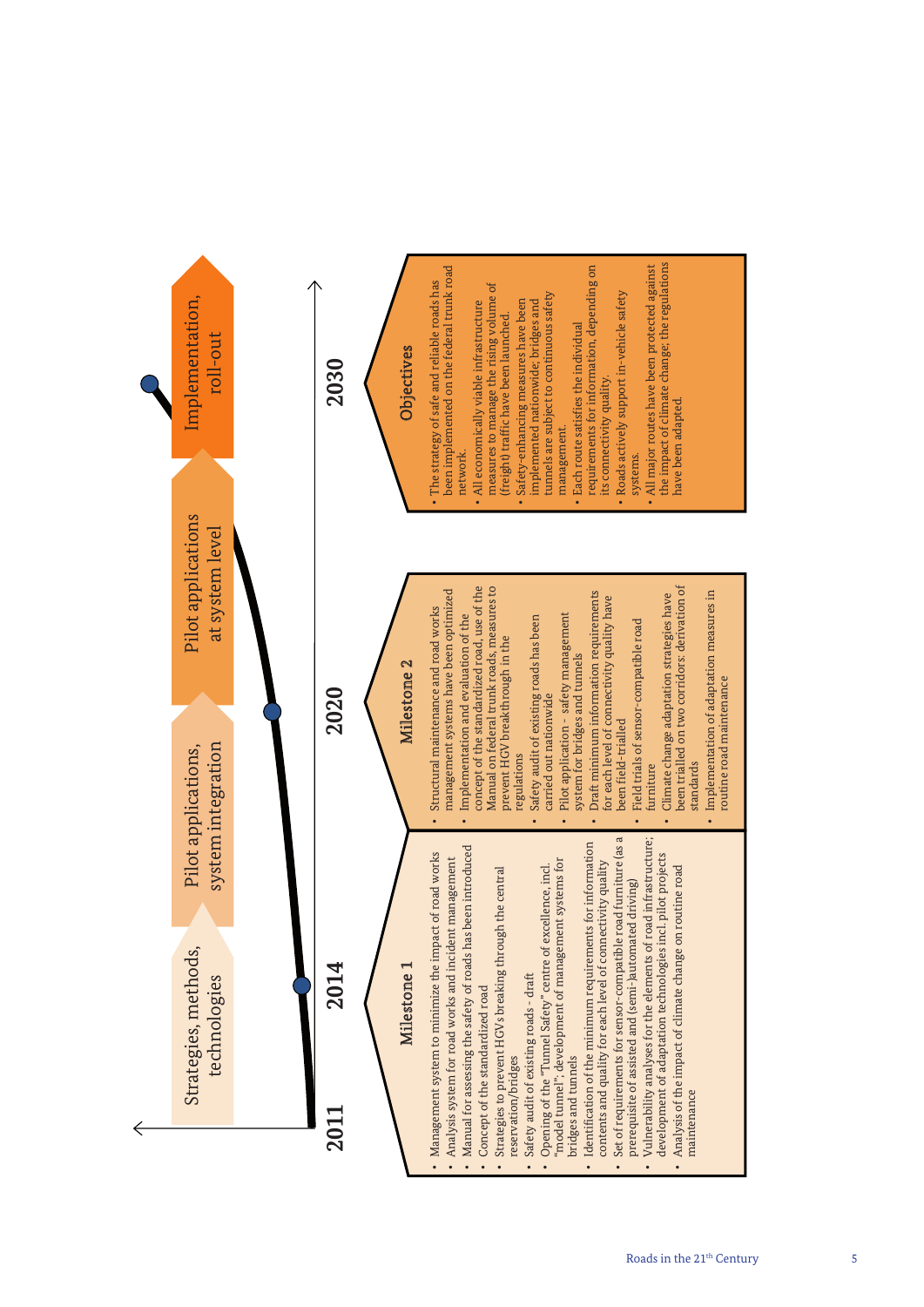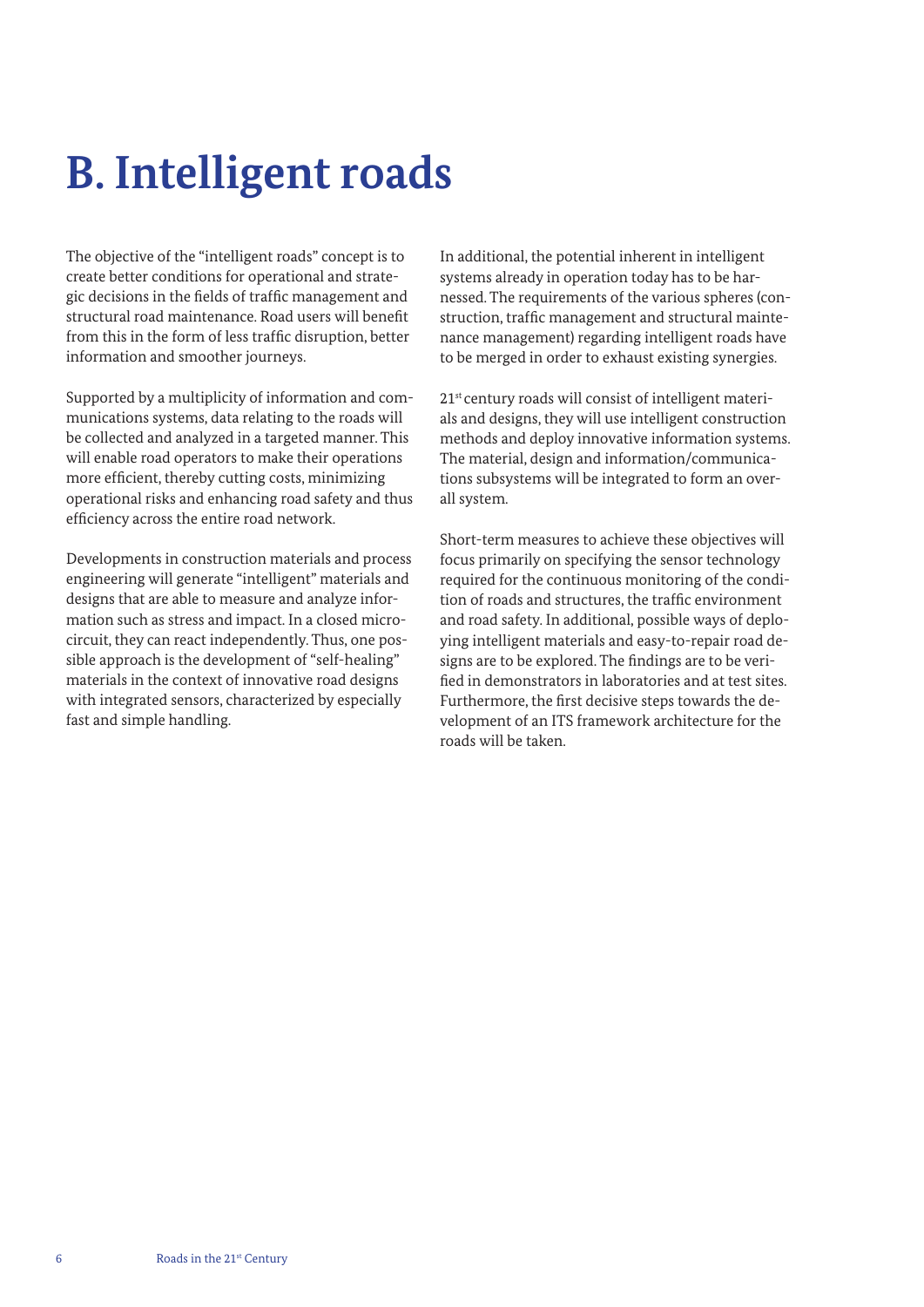## **B. Intelligent roads**

The objective of the "intelligent roads" concept is to create better conditions for operational and strategic decisions in the fields of traffic management and structural road maintenance. Road users will benefit from this in the form of less traffic disruption, better information and smoother journeys.

Supported by a multiplicity of information and communications systems, data relating to the roads will be collected and analyzed in a targeted manner. This will enable road operators to make their operations more efficient, thereby cutting costs, minimizing operational risks and enhancing road safety and thus efficiency across the entire road network.

Developments in construction materials and process engineering will generate "intelligent" materials and designs that are able to measure and analyze information such as stress and impact. In a closed microcircuit, they can react independently. Thus, one possible approach is the development of "self-healing" materials in the context of innovative road designs with integrated sensors, characterized by especially fast and simple handling.

In additional, the potential inherent in intelligent systems already in operation today has to be harnessed. The requirements of the various spheres (construction, traffic management and structural maintenance management) regarding intelligent roads have to be merged in order to exhaust existing synergies.

21<sup>st</sup> century roads will consist of intelligent materials and designs, they will use intelligent construction methods and deploy innovative information systems. The material, design and information/communications subsystems will be integrated to form an overall system.

Short-term measures to achieve these objectives will focus primarily on specifying the sensor technology required for the continuous monitoring of the condition of roads and structures, the traffic environment and road safety. In additional, possible ways of deploying intelligent materials and easy-to-repair road designs are to be explored. The findings are to be verified in demonstrators in laboratories and at test sites. Furthermore, the first decisive steps towards the development of an ITS framework architecture for the roads will be taken.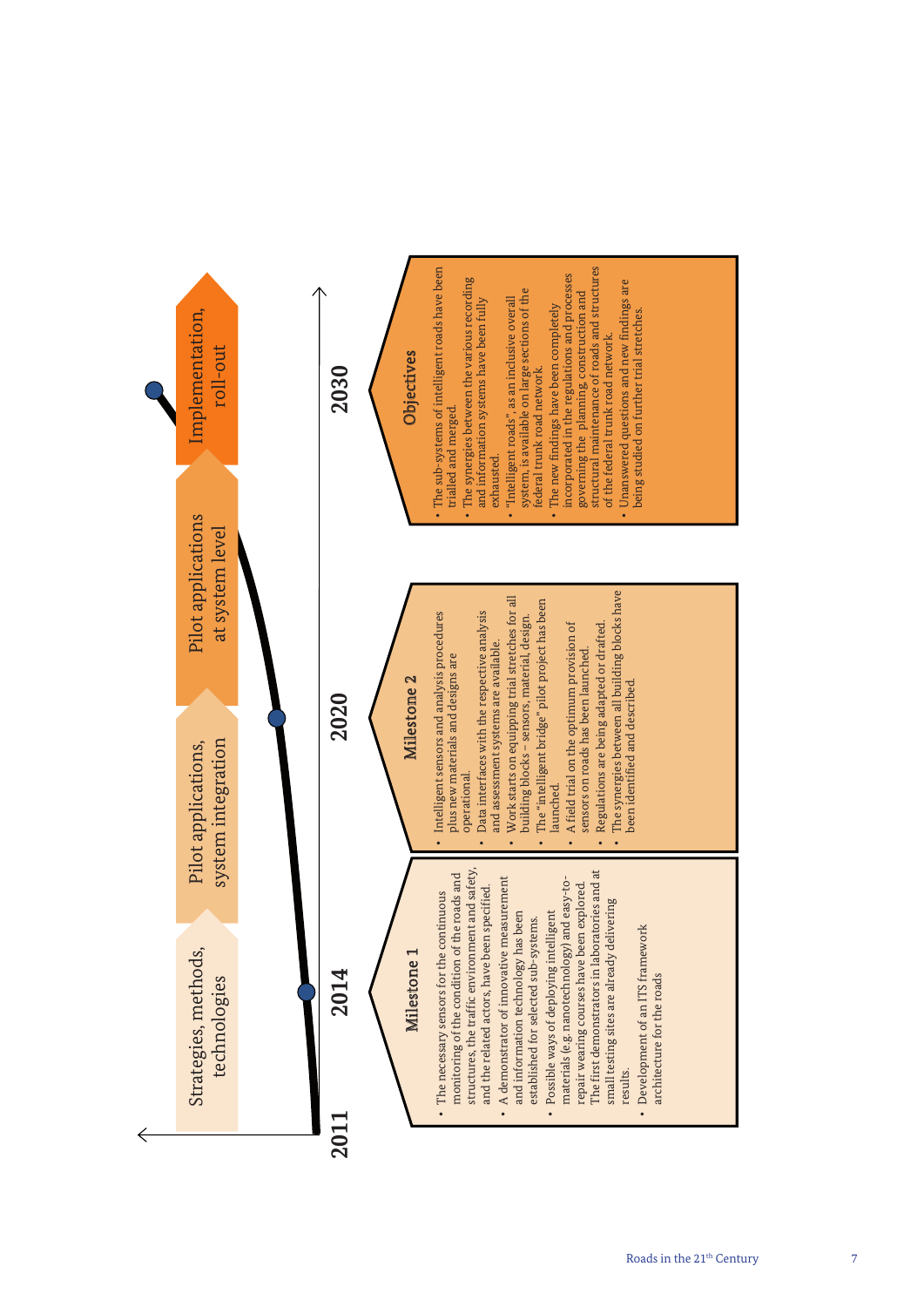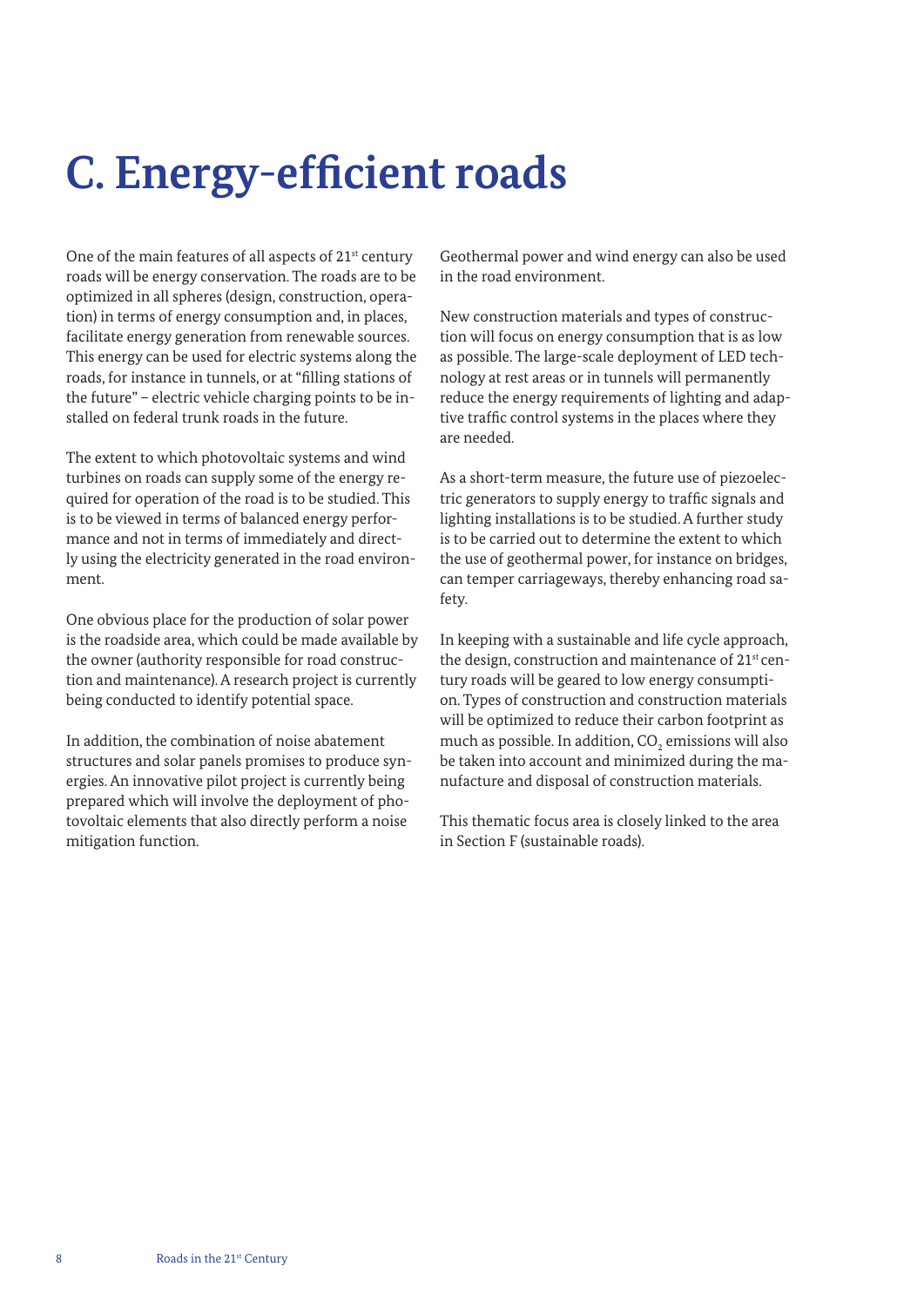## **C. Energy-efficient roads**

One of the main features of all aspects of 21<sup>st</sup> century roads will be energy conservation. The roads are to be optimized in all spheres (design, construction, operation) in terms of energy consumption and, in places, facilitate energy generation from renewable sources. This energy can be used for electric systems along the roads, for instance in tunnels, or at "filling stations of the future" – electric vehicle charging points to be installed on federal trunk roads in the future.

The extent to which photovoltaic systems and wind turbines on roads can supply some of the energy required for operation of the road is to be studied. This is to be viewed in terms of balanced energy performance and not in terms of immediately and directly using the electricity generated in the road environment.

One obvious place for the production of solar power is the roadside area, which could be made available by the owner (authority responsible for road construction and maintenance). A research project is currently being conducted to identify potential space.

In addition, the combination of noise abatement structures and solar panels promises to produce synergies. An innovative pilot project is currently being prepared which will involve the deployment of photovoltaic elements that also directly perform a noise mitigation function.

Geothermal power and wind energy can also be used in the road environment.

New construction materials and types of construction will focus on energy consumption that is as low as possible. The large-scale deployment of LED technology at rest areas or in tunnels will permanently reduce the energy requirements of lighting and adaptive traffic control systems in the places where they are needed.

As a short-term measure, the future use of piezoelectric generators to supply energy to traffic signals and lighting installations is to be studied. A further study is to be carried out to determine the extent to which the use of geothermal power, for instance on bridges, can temper carriageways, thereby enhancing road safety.

In keeping with a sustainable and life cycle approach, the design, construction and maintenance of 21<sup>st</sup> century roads will be geared to low energy consumption. Types of construction and construction materials will be optimized to reduce their carbon footprint as much as possible. In addition,  $\mathrm{CO}_2$  emissions will also be taken into account and minimized during the manufacture and disposal of construction materials.

This thematic focus area is closely linked to the area in Section F (sustainable roads).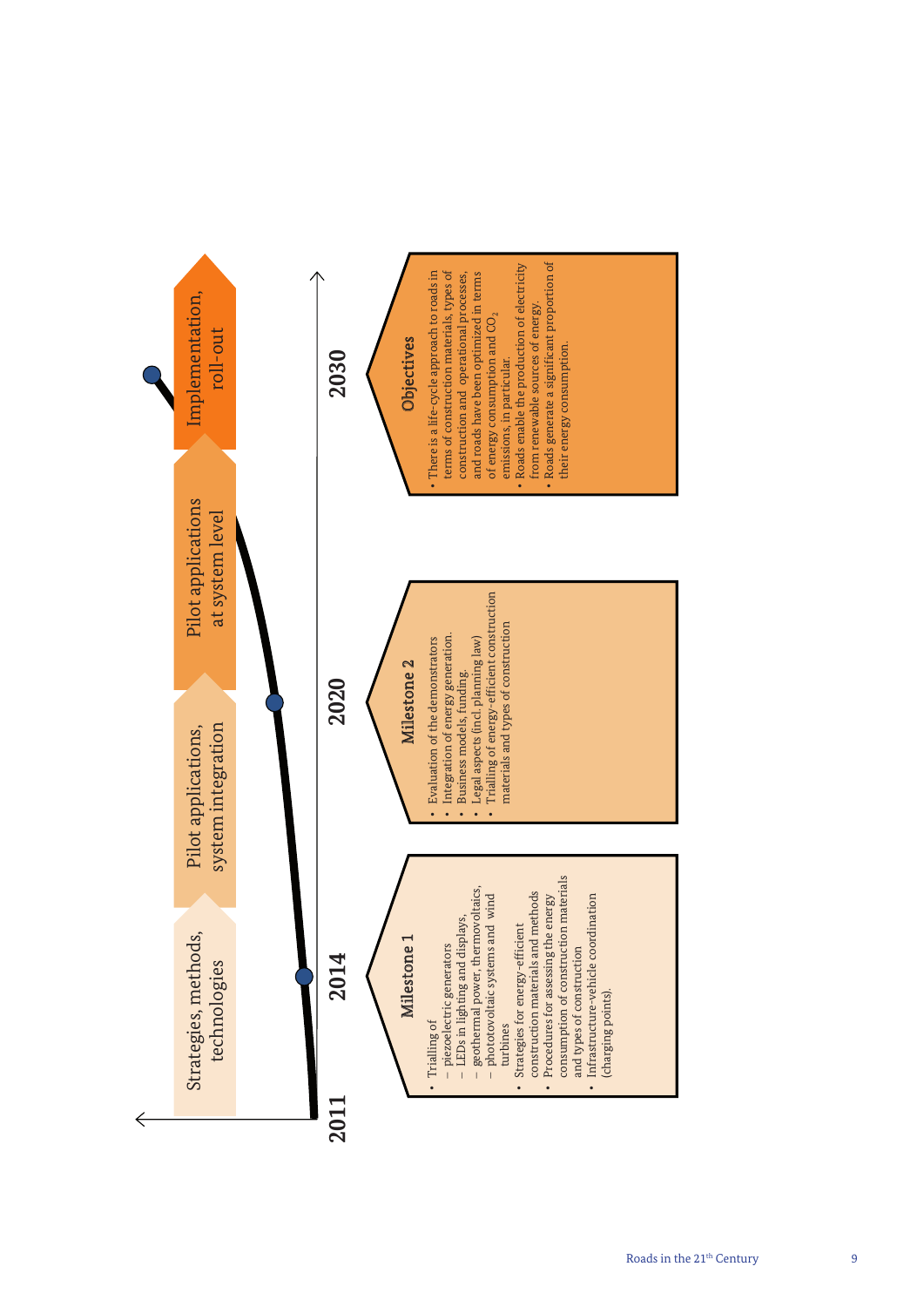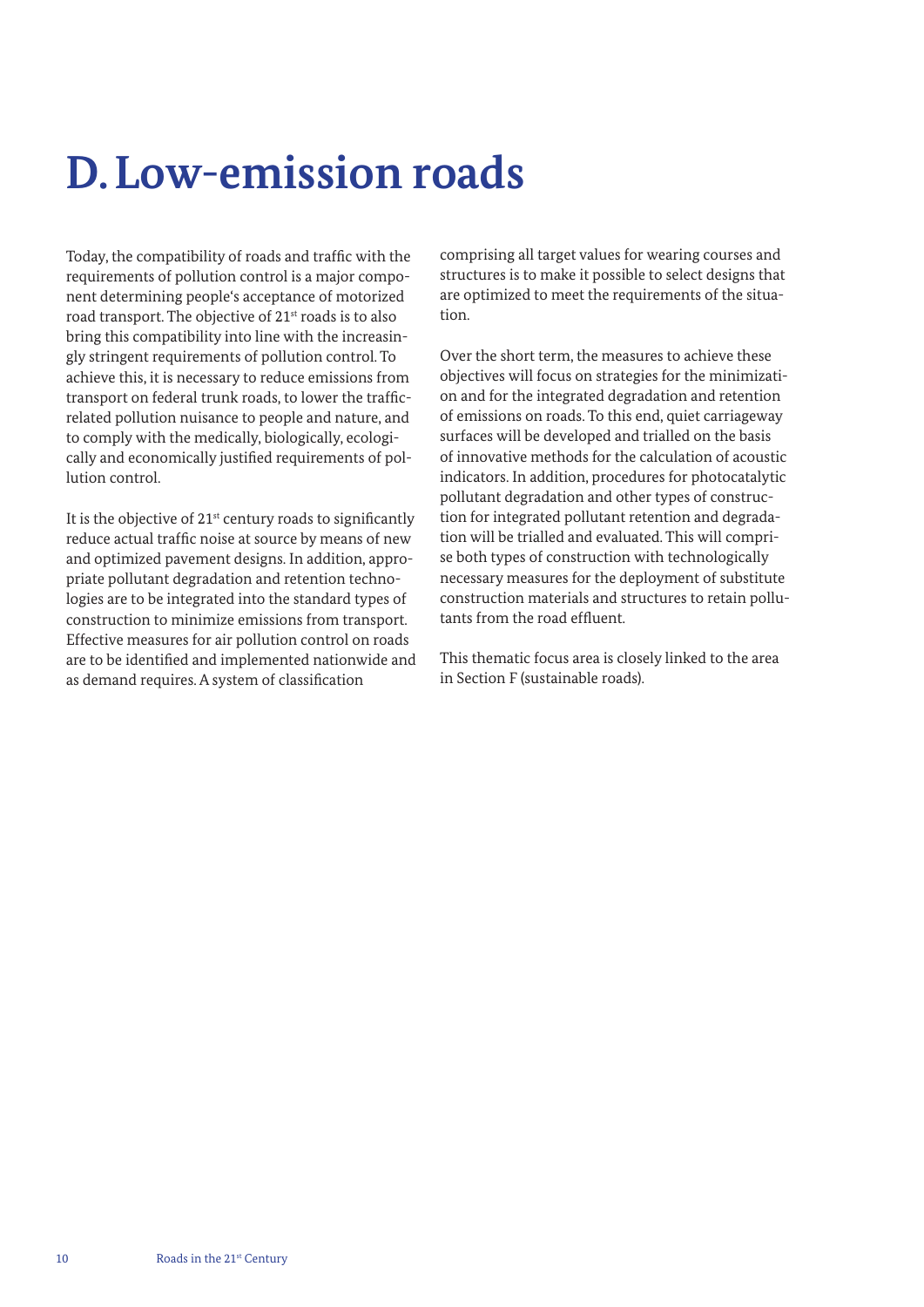## **D.Low-emission roads**

Today, the compatibility of roads and traffic with the requirements of pollution control is a major component determining people's acceptance of motorized road transport. The objective of 21<sup>st</sup> roads is to also bring this compatibility into line with the increasingly stringent requirements of pollution control. To achieve this, it is necessary to reduce emissions from transport on federal trunk roads, to lower the trafficrelated pollution nuisance to people and nature, and to comply with the medically, biologically, ecologically and economically justified requirements of pollution control.

It is the objective of  $21<sup>st</sup>$  century roads to significantly reduce actual traffic noise at source by means of new and optimized pavement designs. In addition, appropriate pollutant degradation and retention technologies are to be integrated into the standard types of construction to minimize emissions from transport. Effective measures for air pollution control on roads are to be identified and implemented nationwide and as demand requires. A system of classification

comprising all target values for wearing courses and structures is to make it possible to select designs that are optimized to meet the requirements of the situation.

Over the short term, the measures to achieve these objectives will focus on strategies for the minimization and for the integrated degradation and retention of emissions on roads. To this end, quiet carriageway surfaces will be developed and trialled on the basis of innovative methods for the calculation of acoustic indicators. In addition, procedures for photocatalytic pollutant degradation and other types of construction for integrated pollutant retention and degradation will be trialled and evaluated. This will comprise both types of construction with technologically necessary measures for the deployment of substitute construction materials and structures to retain pollutants from the road effluent.

This thematic focus area is closely linked to the area in Section F (sustainable roads).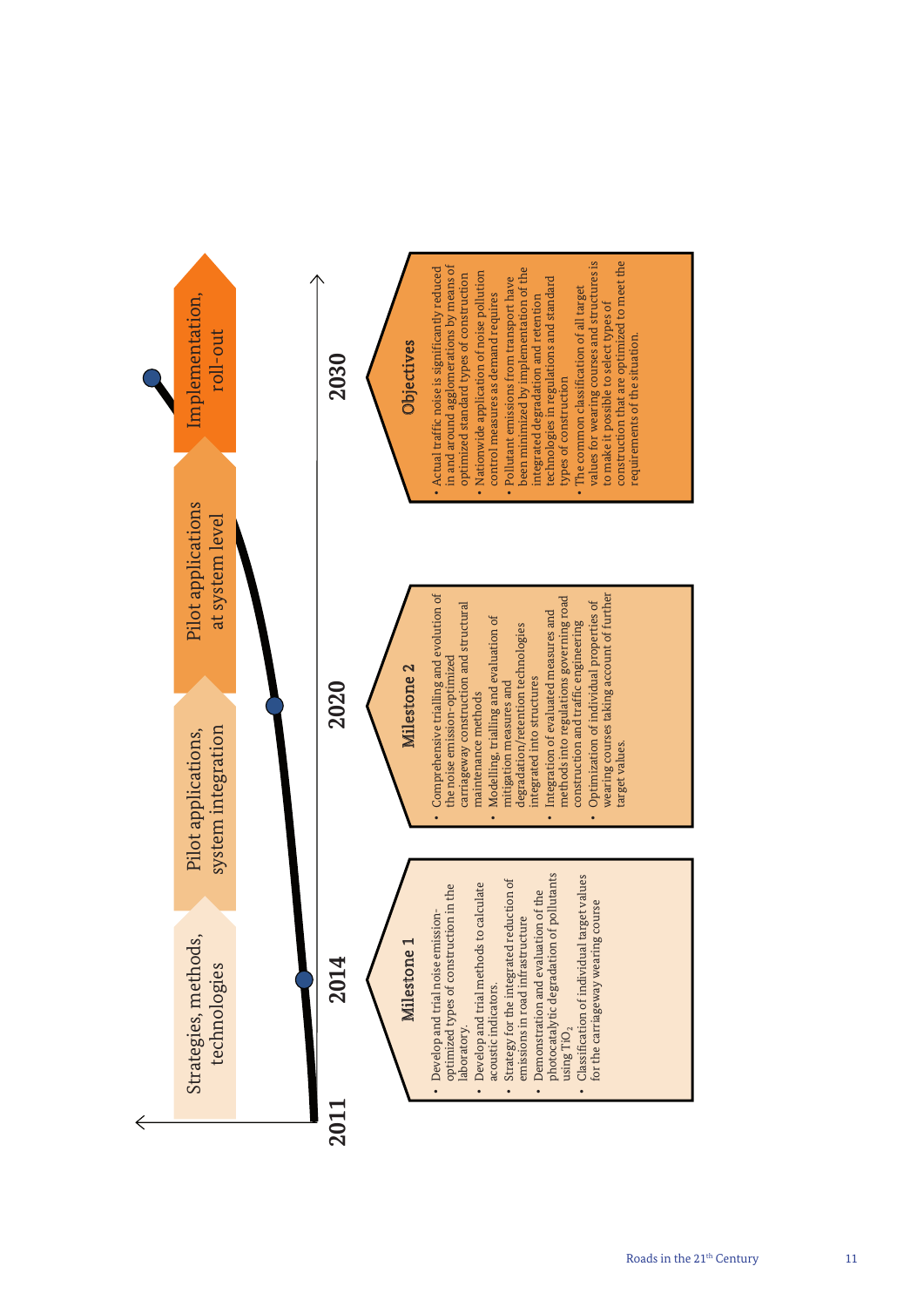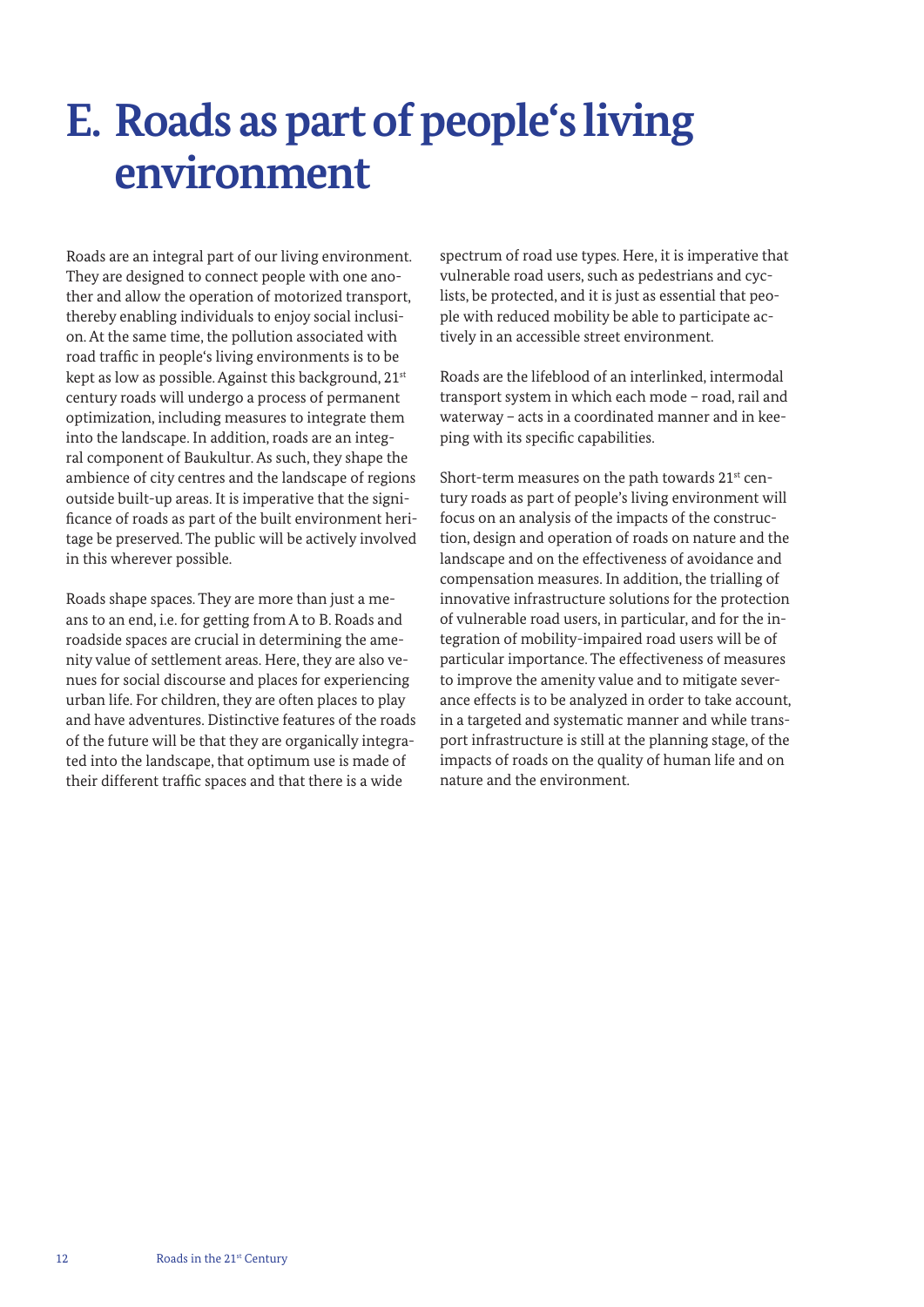## **E. Roads as part of people's living environment**

Roads are an integral part of our living environment. They are designed to connect people with one another and allow the operation of motorized transport, thereby enabling individuals to enjoy social inclusion. At the same time, the pollution associated with road traffic in people's living environments is to be kept as low as possible. Against this background, 21<sup>st</sup> century roads will undergo a process of permanent optimization, including measures to integrate them into the landscape. In addition, roads are an integral component of Baukultur. As such, they shape the ambience of city centres and the landscape of regions outside built-up areas. It is imperative that the significance of roads as part of the built environment heritage be preserved. The public will be actively involved in this wherever possible.

Roads shape spaces. They are more than just a means to an end, i.e. for getting from A to B. Roads and roadside spaces are crucial in determining the amenity value of settlement areas. Here, they are also venues for social discourse and places for experiencing urban life. For children, they are often places to play and have adventures. Distinctive features of the roads of the future will be that they are organically integrated into the landscape, that optimum use is made of their different traffic spaces and that there is a wide

spectrum of road use types. Here, it is imperative that vulnerable road users, such as pedestrians and cyclists, be protected, and it is just as essential that people with reduced mobility be able to participate actively in an accessible street environment.

Roads are the lifeblood of an interlinked, intermodal transport system in which each mode – road, rail and waterway – acts in a coordinated manner and in keeping with its specific capabilities.

Short-term measures on the path towards 21<sup>st</sup> century roads as part of people's living environment will focus on an analysis of the impacts of the construction, design and operation of roads on nature and the landscape and on the effectiveness of avoidance and compensation measures. In addition, the trialling of innovative infrastructure solutions for the protection of vulnerable road users, in particular, and for the integration of mobility-impaired road users will be of particular importance. The effectiveness of measures to improve the amenity value and to mitigate severance effects is to be analyzed in order to take account, in a targeted and systematic manner and while transport infrastructure is still at the planning stage, of the impacts of roads on the quality of human life and on nature and the environment.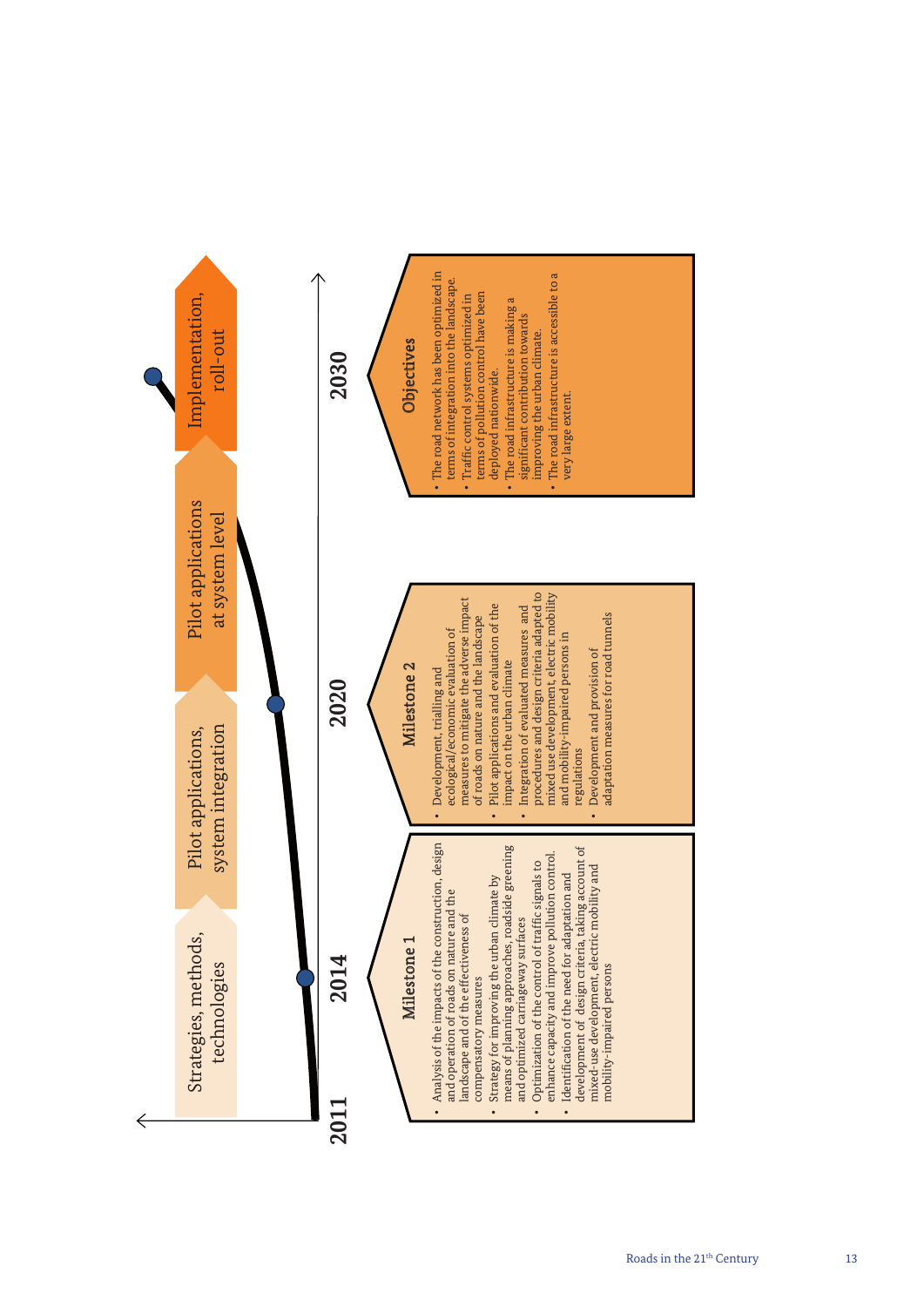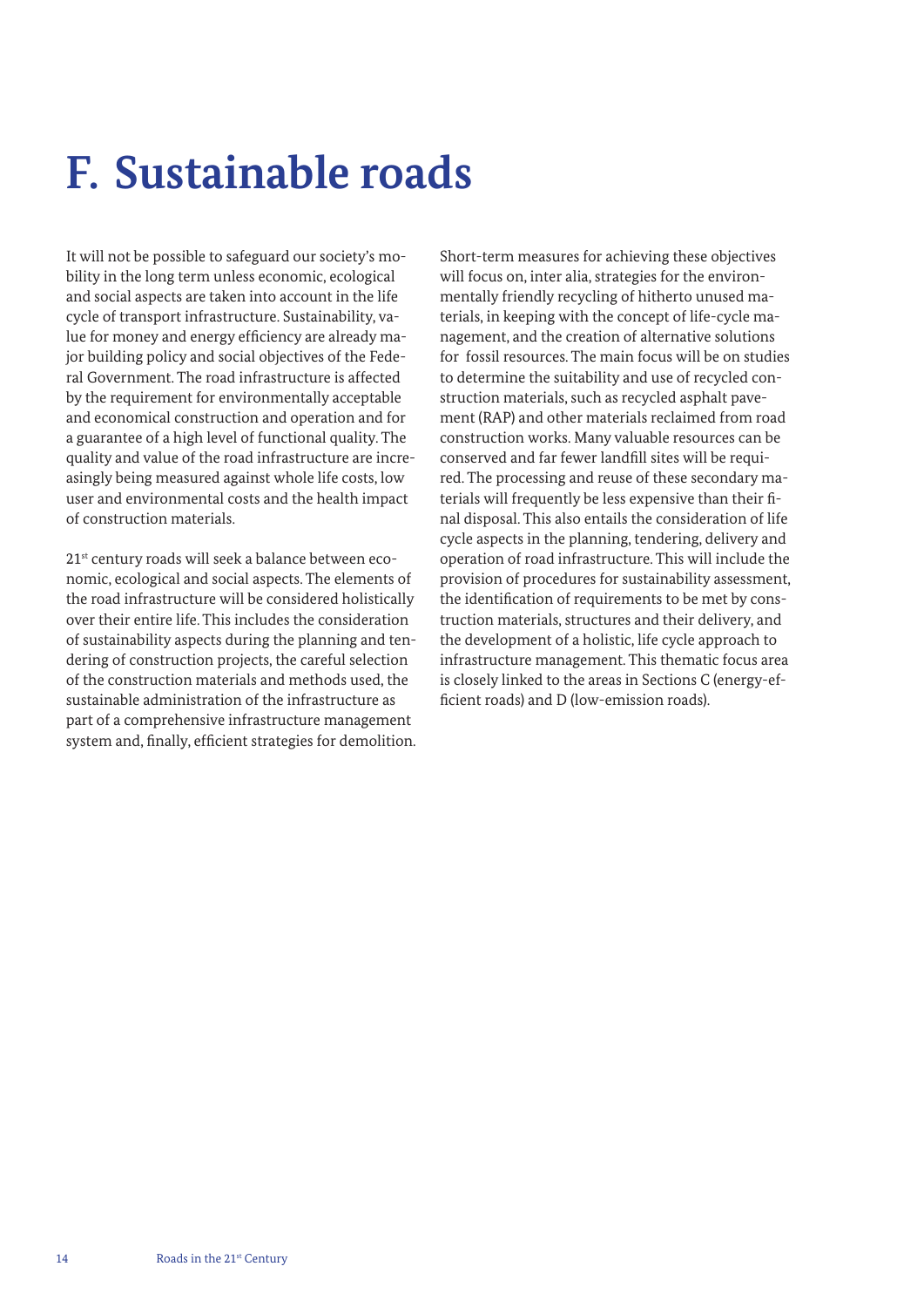## **F. Sustainable roads**

It will not be possible to safeguard our society's mobility in the long term unless economic, ecological and social aspects are taken into account in the life cycle of transport infrastructure. Sustainability, value for money and energy efficiency are already major building policy and social objectives of the Federal Government. The road infrastructure is affected by the requirement for environmentally acceptable and economical construction and operation and for a guarantee of a high level of functional quality. The quality and value of the road infrastructure are increasingly being measured against whole life costs, low user and environmental costs and the health impact of construction materials.

21st century roads will seek a balance between economic, ecological and social aspects. The elements of the road infrastructure will be considered holistically over their entire life. This includes the consideration of sustainability aspects during the planning and tendering of construction projects, the careful selection of the construction materials and methods used, the sustainable administration of the infrastructure as part of a comprehensive infrastructure management system and, finally, efficient strategies for demolition. Short-term measures for achieving these objectives will focus on, inter alia, strategies for the environmentally friendly recycling of hitherto unused materials, in keeping with the concept of life-cycle management, and the creation of alternative solutions for fossil resources. The main focus will be on studies to determine the suitability and use of recycled construction materials, such as recycled asphalt pavement (RAP) and other materials reclaimed from road construction works. Many valuable resources can be conserved and far fewer landfill sites will be required. The processing and reuse of these secondary materials will frequently be less expensive than their final disposal. This also entails the consideration of life cycle aspects in the planning, tendering, delivery and operation of road infrastructure. This will include the provision of procedures for sustainability assessment, the identification of requirements to be met by construction materials, structures and their delivery, and the development of a holistic, life cycle approach to infrastructure management. This thematic focus area is closely linked to the areas in Sections C (energy-efficient roads) and D (low-emission roads).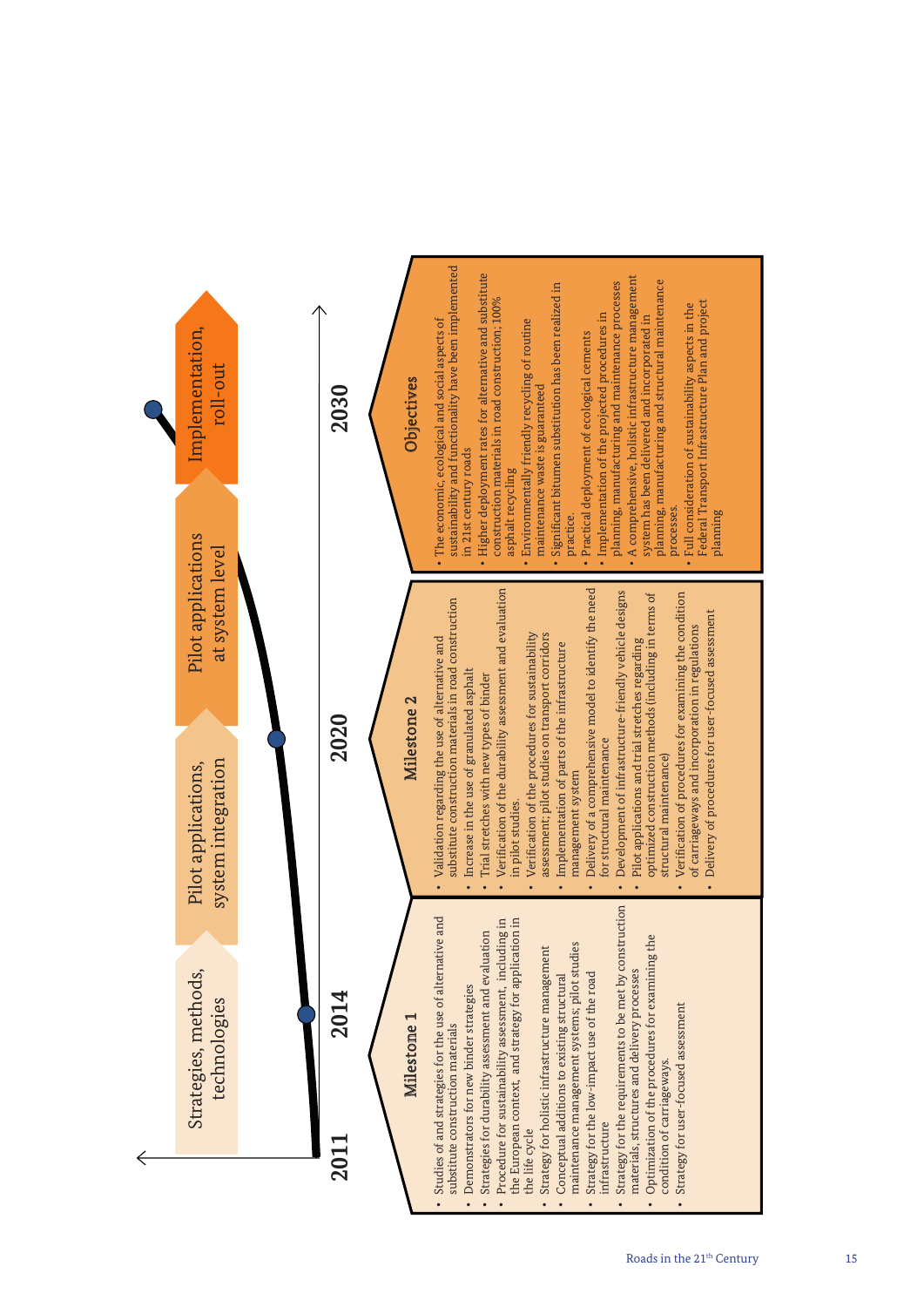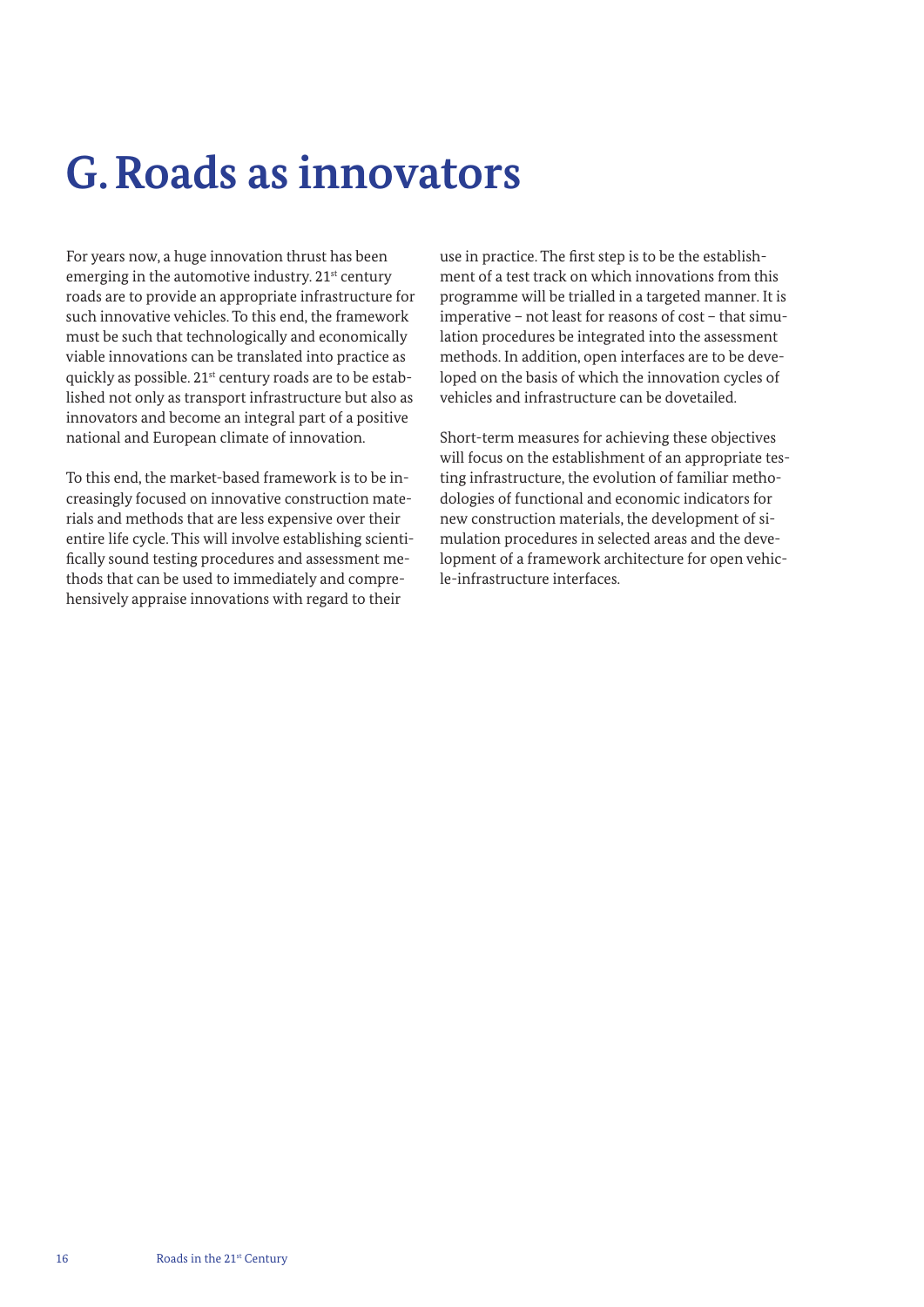## **G.Roads as innovators**

For years now, a huge innovation thrust has been emerging in the automotive industry. 21<sup>st</sup> century roads are to provide an appropriate infrastructure for such innovative vehicles. To this end, the framework must be such that technologically and economically viable innovations can be translated into practice as quickly as possible. 21<sup>st</sup> century roads are to be established not only as transport infrastructure but also as innovators and become an integral part of a positive national and European climate of innovation.

To this end, the market-based framework is to be increasingly focused on innovative construction materials and methods that are less expensive over their entire life cycle. This will involve establishing scientifically sound testing procedures and assessment methods that can be used to immediately and comprehensively appraise innovations with regard to their

use in practice. The first step is to be the establishment of a test track on which innovations from this programme will be trialled in a targeted manner. It is imperative – not least for reasons of cost – that simulation procedures be integrated into the assessment methods. In addition, open interfaces are to be developed on the basis of which the innovation cycles of vehicles and infrastructure can be dovetailed.

Short-term measures for achieving these objectives will focus on the establishment of an appropriate testing infrastructure, the evolution of familiar methodologies of functional and economic indicators for new construction materials, the development of simulation procedures in selected areas and the development of a framework architecture for open vehicle-infrastructure interfaces.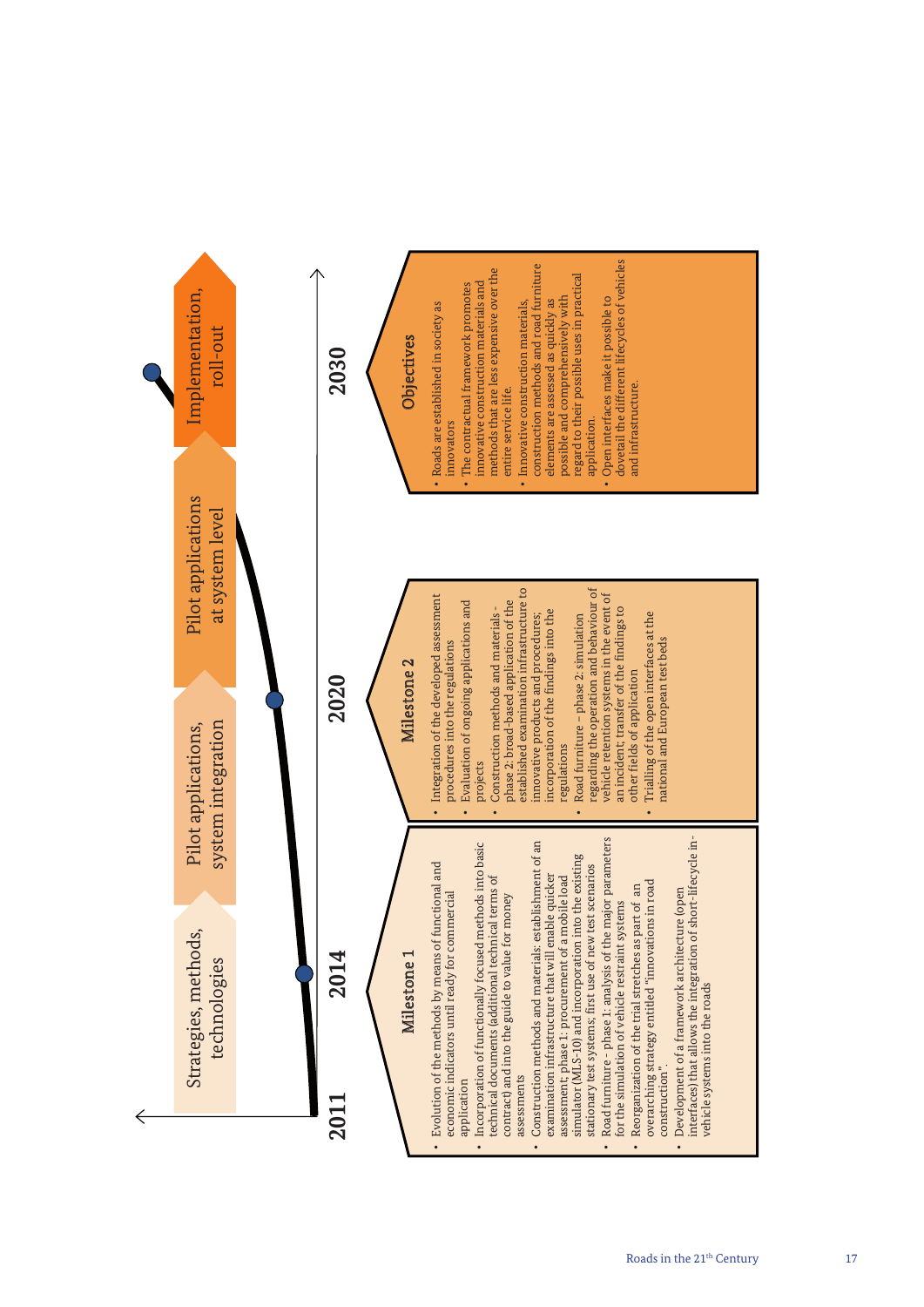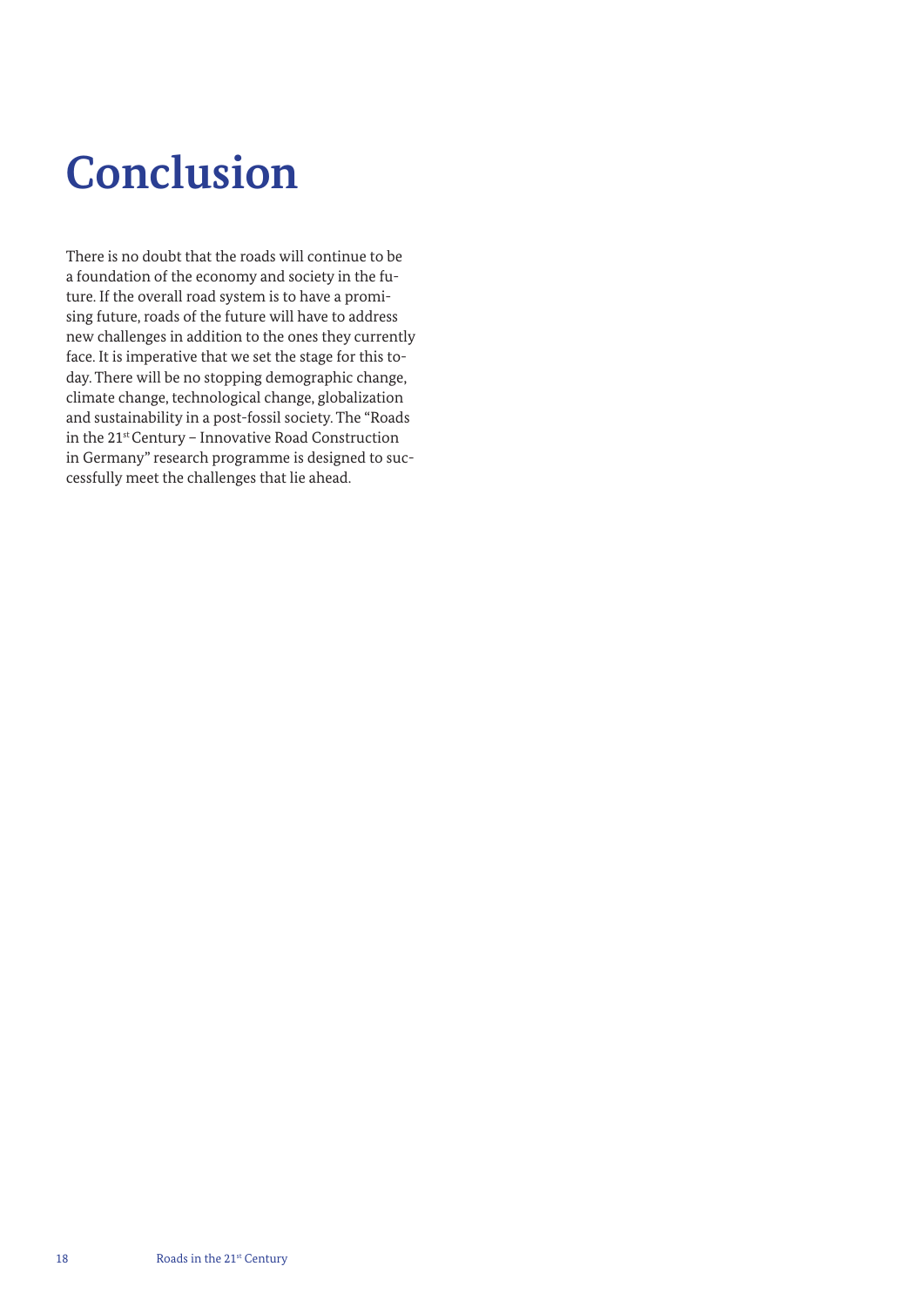## **Conclusion**

There is no doubt that the roads will continue to be a foundation of the economy and society in the future. If the overall road system is to have a promising future, roads of the future will have to address new challenges in addition to the ones they currently face. It is imperative that we set the stage for this today. There will be no stopping demographic change, climate change, technological change, globalization and sustainability in a post-fossil society. The "Roads in the 21st Century – Innovative Road Construction in Germany" research programme is designed to successfully meet the challenges that lie ahead.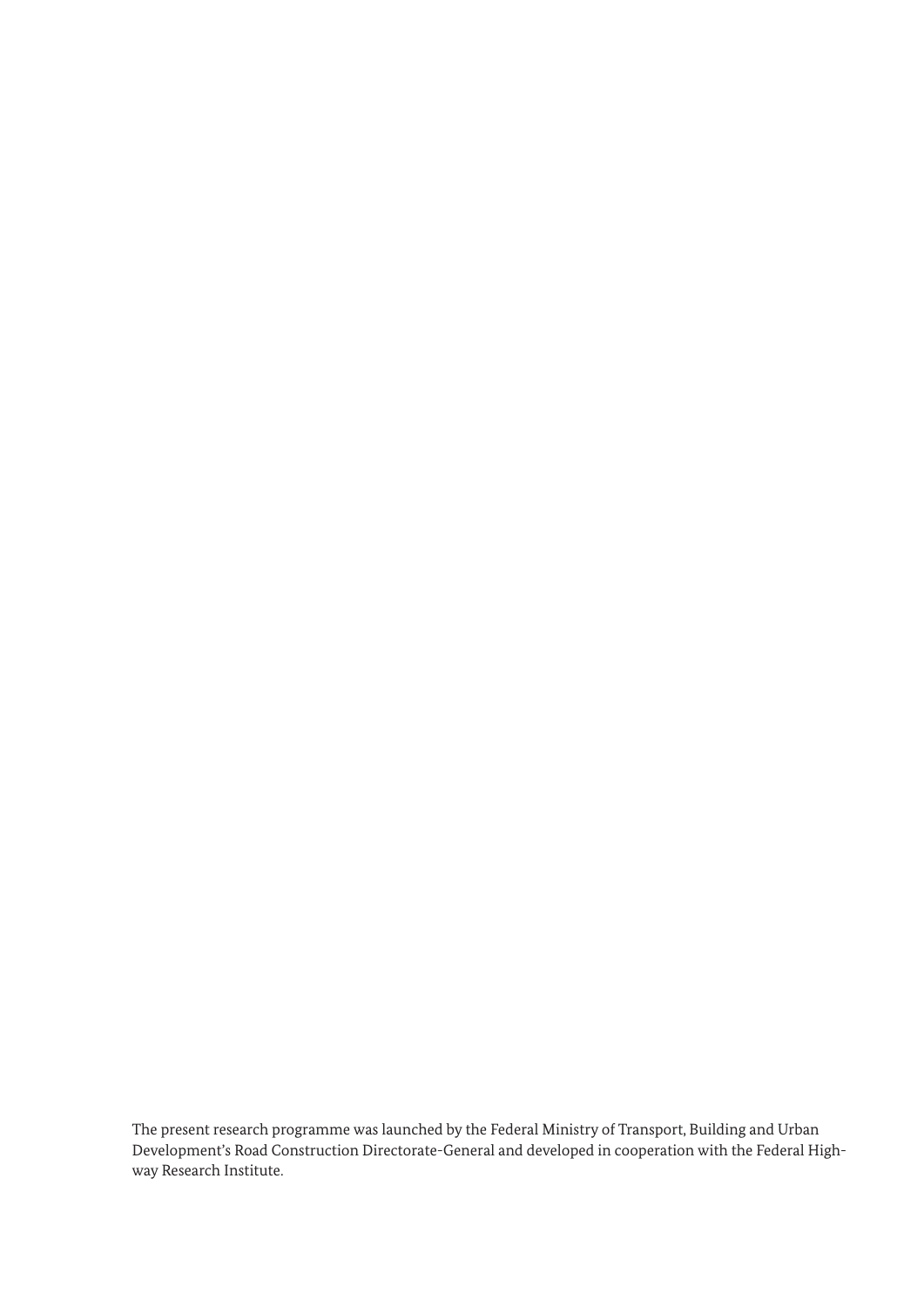The present research programme was launched by the Federal Ministry of Transport, Building and Urban Development's Road Construction Directorate-General and developed in cooperation with the Federal Highway Research Institute.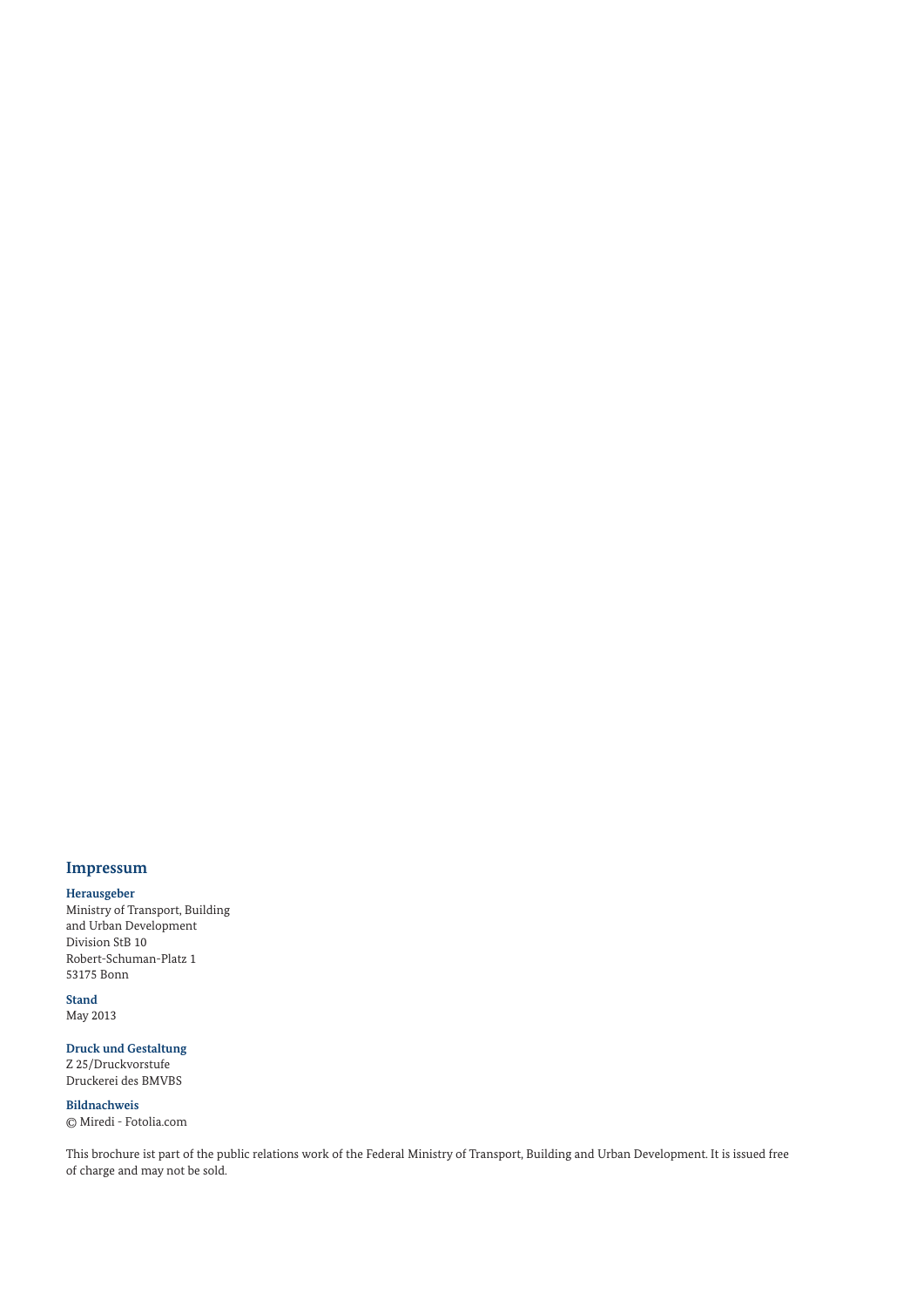### **Impressum**

#### **Herausgeber**

Ministry of Transport, Building and Urban Development Division StB 10 Robert-Schuman-Platz 1 53175 Bonn

**Stand** May 2013

**Druck und Gestaltung** Z 25/Druckvorstufe Druckerei des BMVBS

**Bildnachweis** © Miredi - Fotolia.com

This brochure ist part of the public relations work of the Federal Ministry of Transport, Building and Urban Development. It is issued free of charge and may not be sold.